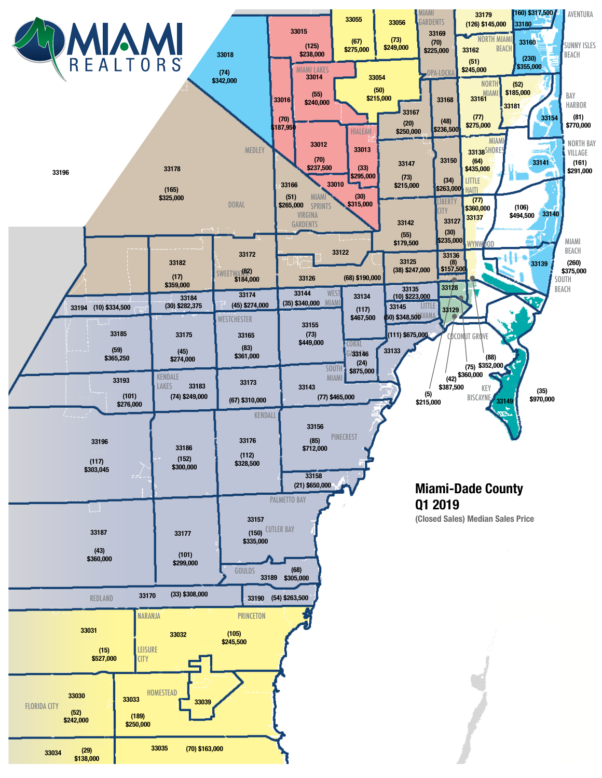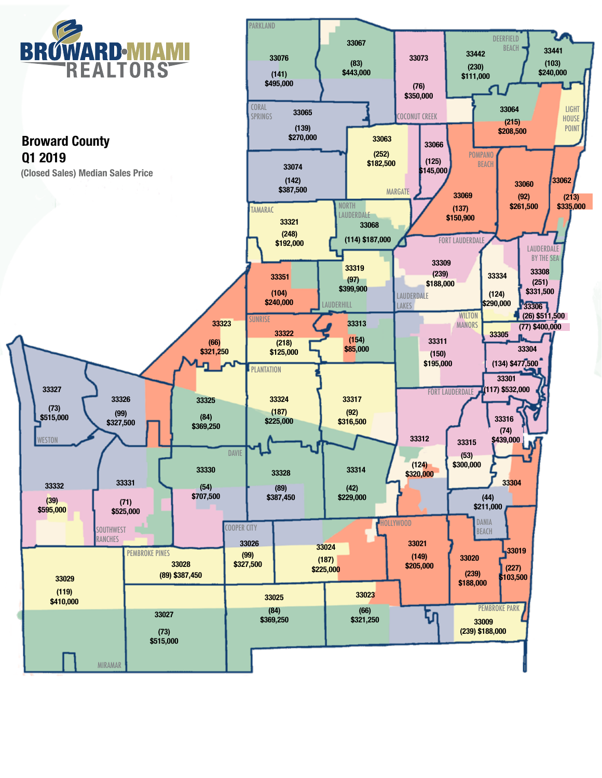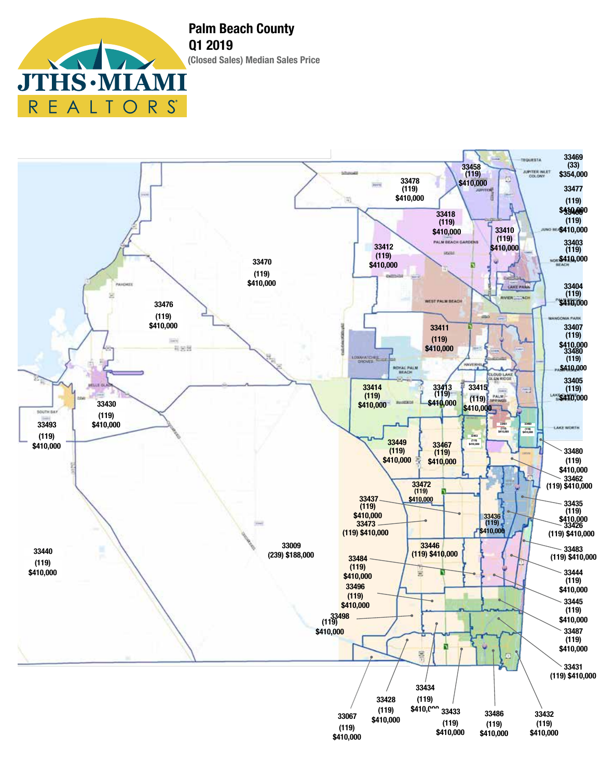**Palm Beach County Q1 2019 (Closed Sales) Median Sales Price**  $\textbf{1S}\cdot\textbf{M}$ 7

 $R_{\parallel}$